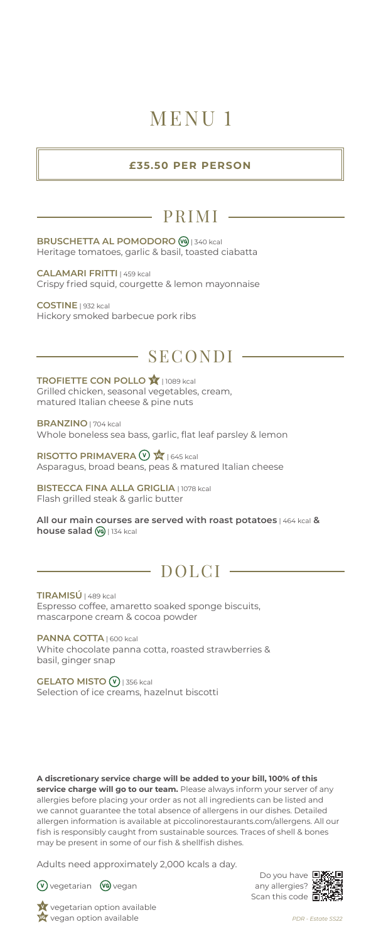# MENU 1

#### **£35.50 PER PERSON**

### PRIMI

**BRUSCHETTA AL POMODORO** | 340 kcal Heritage tomatoes, garlic & basil, toasted ciabatta

**CALAMARI FRITTI** | 459 kcal Crispy fried squid, courgette & lemon mayonnaise

**COSTINE** | 932 kcal Hickory smoked barbecue pork ribs

### SECONDI

**TROFIETTE CON POLLO <b>X** 1089 kcal Grilled chicken, seasonal vegetables, cream, matured Italian cheese & pine nuts

**BRANZINO** | 704 kcal Whole boneless sea bass, garlic, flat leaf parsley & lemon

**RISOTTO PRIMAVERA**  $\mathbb{Q}$   $\mathbb{Q}$   $\mathbb{Q}$  1645 kcal Asparagus, broad beans, peas & matured Italian cheese

**BISTECCA FINA ALLA GRIGLIA** | 1078 kcal Flash grilled steak & garlic butter

**All our main courses are served with roast potatoes** | 464 kcal **& house salad**  $\omega$  | 134 kcal

### $\overline{\phantom{0}}$  DOLCI -

**TIRAMISÚ** | 489 kcal Espresso coffee, amaretto soaked sponge biscuits, mascarpone cream & cocoa powder

**PANNA COTTA** | 600 kcal White chocolate panna cotta, roasted strawberries & basil, ginger snap

**GELATO MISTO** | 356 kcal Selection of ice creams, hazelnut biscotti

**A discretionary service charge will be added to your bill, 100% of this service charge will go to our team.** Please always inform your server of any allergies before placing your order as not all ingredients can be listed and we cannot guarantee the total absence of allergens in our dishes. Detailed allergen information is available at piccolinorestaurants.com/allergens. All our fish is responsibly caught from sustainable sources. Traces of shell & bones may be present in some of our fish & shellfish dishes.

Adults need approximately 2,000 kcals a day.



**V** vegetarian **VG** vegan

Do you have any allergies? Scan this code **nit** 



*PDR - Estate SS22*